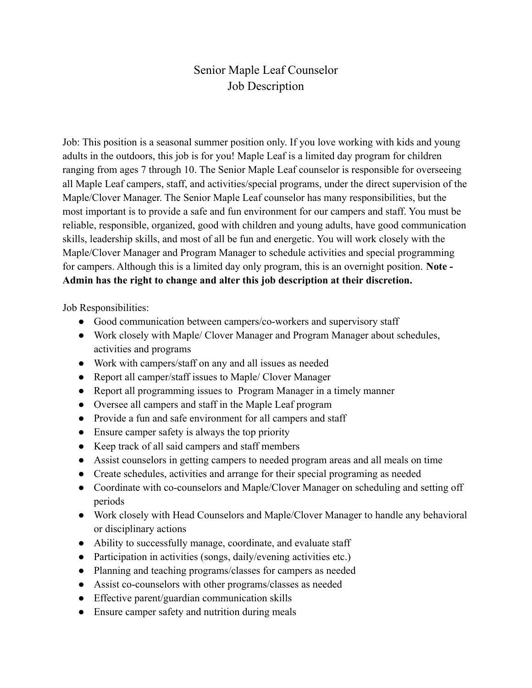## Senior Maple Leaf Counselor Job Description

Job: This position is a seasonal summer position only. If you love working with kids and young adults in the outdoors, this job is for you! Maple Leaf is a limited day program for children ranging from ages 7 through 10. The Senior Maple Leaf counselor is responsible for overseeing all Maple Leaf campers, staff, and activities/special programs, under the direct supervision of the Maple/Clover Manager. The Senior Maple Leaf counselor has many responsibilities, but the most important is to provide a safe and fun environment for our campers and staff. You must be reliable, responsible, organized, good with children and young adults, have good communication skills, leadership skills, and most of all be fun and energetic. You will work closely with the Maple/Clover Manager and Program Manager to schedule activities and special programming for campers. Although this is a limited day only program, this is an overnight position. **Note - Admin has the right to change and alter this job description at their discretion.**

Job Responsibilities:

- Good communication between campers/co-workers and supervisory staff
- Work closely with Maple/ Clover Manager and Program Manager about schedules, activities and programs
- Work with campers/staff on any and all issues as needed
- Report all camper/staff issues to Maple/ Clover Manager
- Report all programming issues to Program Manager in a timely manner
- Oversee all campers and staff in the Maple Leaf program
- Provide a fun and safe environment for all campers and staff
- Ensure camper safety is always the top priority
- Keep track of all said campers and staff members
- Assist counselors in getting campers to needed program areas and all meals on time
- Create schedules, activities and arrange for their special programing as needed
- Coordinate with co-counselors and Maple/Clover Manager on scheduling and setting off periods
- Work closely with Head Counselors and Maple/Clover Manager to handle any behavioral or disciplinary actions
- Ability to successfully manage, coordinate, and evaluate staff
- Participation in activities (songs, daily/evening activities etc.)
- Planning and teaching programs/classes for campers as needed
- Assist co-counselors with other programs/classes as needed
- Effective parent/guardian communication skills
- Ensure camper safety and nutrition during meals